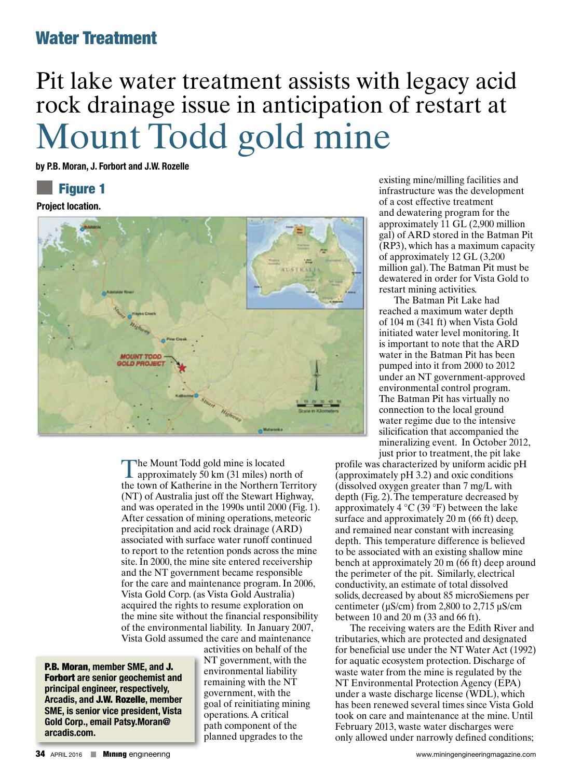# Pit lake water treatment assists with legacy acid rock drainage issue in anticipation of restart at Mount Todd gold mine

**by P.B. Moran, J. Forbort and J.W. Rozelle**

#### Figure 1

**Project location.** 



The Mount Todd gold mine is located<br>approximately 50 km (31 miles) north of the town of Katherine in the Northern Territory (NT) of Australia just off the Stewart Highway, and was operated in the 1990s until 2000 (Fig. 1). After cessation of mining operations, meteoric precipitation and acid rock drainage (ARD) associated with surface water runoff continued to report to the retention ponds across the mine site. In 2000, the mine site entered receivership and the NT government became responsible for the care and maintenance program. In 2006, Vista Gold Corp. (as Vista Gold Australia) acquired the rights to resume exploration on the mine site without the financial responsibility of the environmental liability. In January 2007, Vista Gold assumed the care and maintenance

P.B. Moran**, member SME, and** J. Forbort **are senior geochemist and principal engineer, respectively, Arcadis, and** J.W. Rozelle**, member SME, is senior vice president, Vista Gold Corp., email Patsy.Moran@ arcadis.com.**

activities on behalf of the NT government, with the environmental liability remaining with the NT government, with the goal of reinitiating mining operations. A critical path component of the planned upgrades to the

existing mine/milling facilities and infrastructure was the development of a cost effective treatment and dewatering program for the approximately 11 GL (2,900 million gal) of ARD stored in the Batman Pit (RP3), which has a maximum capacity of approximately 12 GL (3,200 million gal). The Batman Pit must be dewatered in order for Vista Gold to restart mining activities.

The Batman Pit Lake had reached a maximum water depth of 104 m (341 ft) when Vista Gold initiated water level monitoring. It is important to note that the ARD water in the Batman Pit has been pumped into it from 2000 to 2012 under an NT government-approved environmental control program. The Batman Pit has virtually no connection to the local ground water regime due to the intensive silicification that accompanied the mineralizing event. In October 2012, just prior to treatment, the pit lake

profile was characterized by uniform acidic pH (approximately  $pH$  3.2) and oxic conditions (dissolved oxygen greater than 7 mg/L with depth (Fig. 2). The temperature decreased by approximately 4  $^{\circ}$ C (39  $^{\circ}$ F) between the lake surface and approximately 20 m (66 ft) deep, and remained near constant with increasing depth. This temperature difference is believed to be associated with an existing shallow mine bench at approximately 20 m (66 ft) deep around the perimeter of the pit. Similarly, electrical conductivity, an estimate of total dissolved solids, decreased by about 85 microSiemens per centimeter ( $\mu$ S/cm) from 2,800 to 2,715  $\mu$ S/cm between 10 and 20 m (33 and 66 ft).

The receiving waters are the Edith River and tributaries, which are protected and designated for beneficial use under the NT Water Act (1992) for aquatic ecosystem protection. Discharge of waste water from the mine is regulated by the NT Environmental Protection Agency (EPA) under a waste discharge license (WDL), which has been renewed several times since Vista Gold took on care and maintenance at the mine. Until February 2013, waste water discharges were only allowed under narrowly defined conditions;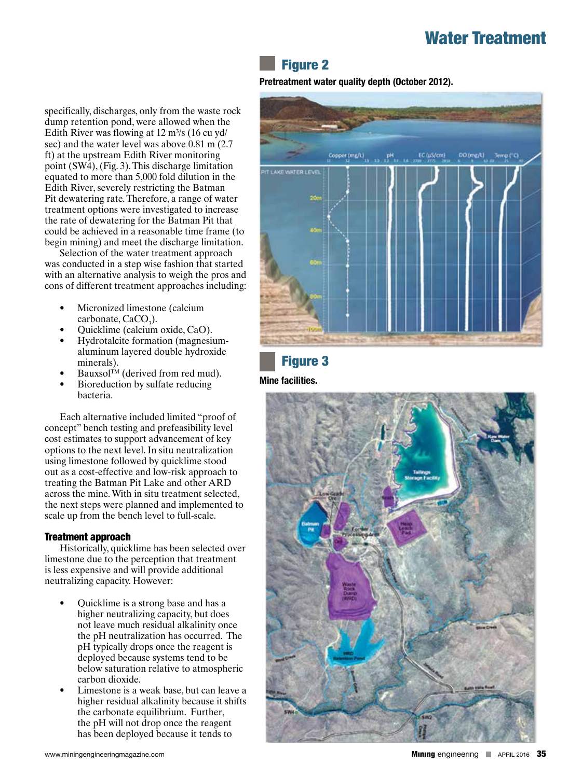### Figure 2

#### **Pretreatment water quality depth (October 2012).**

specifically, discharges, only from the waste rock dump retention pond, were allowed when the Edith River was flowing at  $12 \text{ m}^3\text{/s}$  (16 cu yd/ sec) and the water level was above 0.81 m (2.7 ft) at the upstream Edith River monitoring point (SW4), (Fig. 3). This discharge limitation equated to more than 5,000 fold dilution in the Edith River, severely restricting the Batman Pit dewatering rate. Therefore, a range of water treatment options were investigated to increase the rate of dewatering for the Batman Pit that could be achieved in a reasonable time frame (to begin mining) and meet the discharge limitation.

Selection of the water treatment approach was conducted in a step wise fashion that started with an alternative analysis to weigh the pros and cons of different treatment approaches including:

- Micronized limestone (calcium  $\text{carbonate}, \text{CaCO}_3$ ).
- Quicklime (calcium oxide, CaO).
- Hydrotalcite formation (magnesiumaluminum layered double hydroxide minerals).
- Bauxsol<sup>TM</sup> (derived from red mud).
- Bioreduction by sulfate reducing bacteria.

Each alternative included limited "proof of concept" bench testing and prefeasibility level cost estimates to support advancement of key options to the next level. In situ neutralization using limestone followed by quicklime stood out as a cost-effective and low-risk approach to treating the Batman Pit Lake and other ARD across the mine. With in situ treatment selected, the next steps were planned and implemented to scale up from the bench level to full-scale.

#### Treatment approach

Historically, quicklime has been selected over limestone due to the perception that treatment is less expensive and will provide additional neutralizing capacity. However:

- Quicklime is a strong base and has a higher neutralizing capacity, but does not leave much residual alkalinity once the pH neutralization has occurred. The pH typically drops once the reagent is deployed because systems tend to be below saturation relative to atmospheric carbon dioxide.
- Limestone is a weak base, but can leave a higher residual alkalinity because it shifts the carbonate equilibrium. Further, the pH will not drop once the reagent has been deployed because it tends to



## Figure 3

**Mine facilities.**

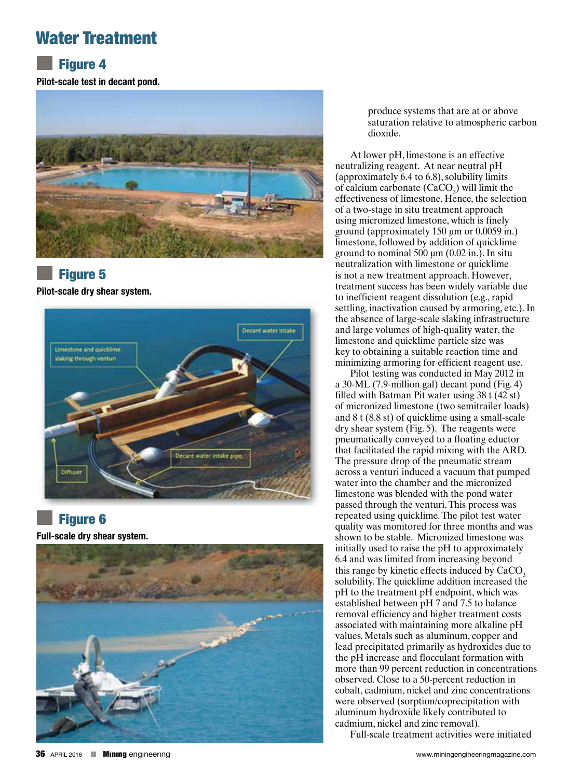## **Figure 4**

**Pilot-scale test in decant pond.**



#### Figure 5

**Pilot-scale dry shear system.**



## **Figure 6**

**Full-scale dry shear system.**



produce systems that are at or above saturation relative to atmospheric carbon dioxide.

At lower pH, limestone is an effective neutralizing reagent. At near neutral pH (approximately 6.4 to 6.8), solubility limits of calcium carbonate  $(CaCO<sub>3</sub>)$  will limit the effectiveness of limestone. Hence, the selection of a two-stage in situ treatment approach using micronized limestone, which is finely ground (approximately 150 µm or 0.0059 in.) limestone, followed by addition of quicklime ground to nominal 500 µm (0.02 in.). In situ neutralization with limestone or quicklime is not a new treatment approach. However, treatment success has been widely variable due to inefficient reagent dissolution (e.g., rapid settling, inactivation caused by armoring, etc.). In the absence of large-scale slaking infrastructure and large volumes of high-quality water, the limestone and quicklime particle size was key to obtaining a suitable reaction time and minimizing armoring for efficient reagent use.

Pilot testing was conducted in May 2012 in a 30-ML (7.9-million gal) decant pond (Fig. 4) filled with Batman Pit water using 38 t (42 st) of micronized limestone (two semitrailer loads) and 8 t (8.8 st) of quicklime using a small-scale dry shear system (Fig. 5). The reagents were pneumatically conveyed to a floating eductor that facilitated the rapid mixing with the ARD. The pressure drop of the pneumatic stream across a venturi induced a vacuum that pumped water into the chamber and the micronized limestone was blended with the pond water passed through the venturi. This process was repeated using quicklime. The pilot test water quality was monitored for three months and was shown to be stable. Micronized limestone was initially used to raise the pH to approximately 6.4 and was limited from increasing beyond this range by kinetic effects induced by CaCO  $\frac{3}{3}$  solubility. The quicklime addition increased the pH to the treatment pH endpoint, which was established between pH 7 and 7.5 to balance removal efficiency and higher treatment costs associated with maintaining more alkaline pH values. Metals such as aluminum, copper and lead precipitated primarily as hydroxides due to the pH increase and flocculant formation with more than 99 percent reduction in concentrations observed. Close to a 50-percent reduction in cobalt, cadmium, nickel and zinc concentrations were observed (sorption/coprecipitation with aluminum hydroxide likely contributed to cadmium, nickel and zinc removal).

Full-scale treatment activities were initiated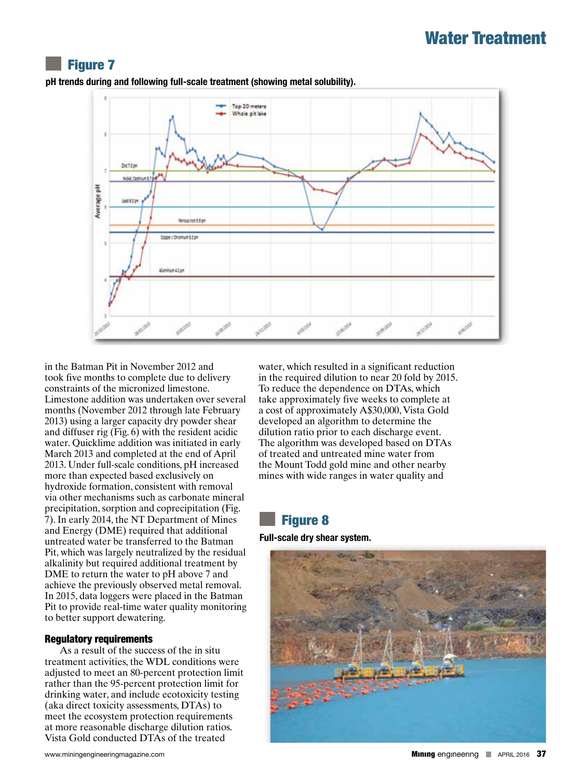#### Figure 7



**pH trends during and following full-scale treatment (showing metal solubility).**

in the Batman Pit in November 2012 and took five months to complete due to delivery constraints of the micronized limestone. Limestone addition was undertaken over several months (November 2012 through late February 2013) using a larger capacity dry powder shear and diffuser rig (Fig.  $6$ ) with the resident acidic water. Quicklime addition was initiated in early March 2013 and completed at the end of April 2013. Under full-scale conditions, pH increased more than expected based exclusively on hydroxide formation, consistent with removal via other mechanisms such as carbonate mineral precipitation, sorption and coprecipitation (Fig. 7). In early 2014, the NT Department of Mines and Energy (DME) required that additional untreated water be transferred to the Batman Pit, which was largely neutralized by the residual alkalinity but required additional treatment by DME to return the water to pH above 7 and achieve the previously observed metal removal. In 2015, data loggers were placed in the Batman Pit to provide real-time water quality monitoring to better support dewatering.

#### Regulatory requirements

As a result of the success of the in situ treatment activities, the WDL conditions were adjusted to meet an 80-percent protection limit rather than the 95-percent protection limit for drinking water, and include ecotoxicity testing (aka direct toxicity assessments, DTAs) to meet the ecosystem protection requirements at more reasonable discharge dilution ratios. Vista Gold conducted DTAs of the treated

water, which resulted in a significant reduction in the required dilution to near 20 fold by 2015. To reduce the dependence on DTAs, which take approximately five weeks to complete at a cost of approximately A\$30,000, Vista Gold developed an algorithm to determine the dilution ratio prior to each discharge event. The algorithm was developed based on DTAs of treated and untreated mine water from the Mount Todd gold mine and other nearby mines with wide ranges in water quality and

## Figure 8

**Full-scale dry shear system.**